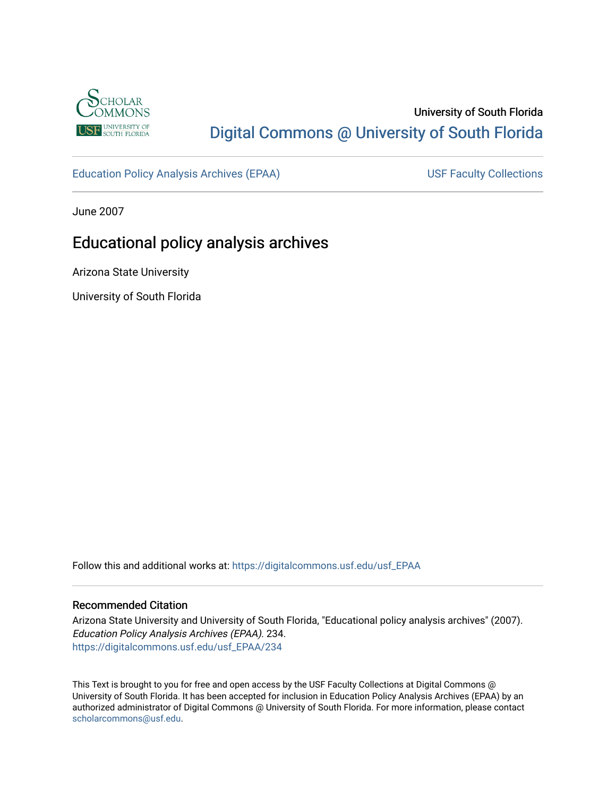

# University of South Florida [Digital Commons @ University of South Florida](https://digitalcommons.usf.edu/)

[Education Policy Analysis Archives \(EPAA\)](https://digitalcommons.usf.edu/usf_EPAA) USF Faculty Collections

June 2007

# Educational policy analysis archives

Arizona State University

University of South Florida

Follow this and additional works at: [https://digitalcommons.usf.edu/usf\\_EPAA](https://digitalcommons.usf.edu/usf_EPAA?utm_source=digitalcommons.usf.edu%2Fusf_EPAA%2F234&utm_medium=PDF&utm_campaign=PDFCoverPages)

## Recommended Citation

Arizona State University and University of South Florida, "Educational policy analysis archives" (2007). Education Policy Analysis Archives (EPAA). 234. [https://digitalcommons.usf.edu/usf\\_EPAA/234](https://digitalcommons.usf.edu/usf_EPAA/234?utm_source=digitalcommons.usf.edu%2Fusf_EPAA%2F234&utm_medium=PDF&utm_campaign=PDFCoverPages)

This Text is brought to you for free and open access by the USF Faculty Collections at Digital Commons @ University of South Florida. It has been accepted for inclusion in Education Policy Analysis Archives (EPAA) by an authorized administrator of Digital Commons @ University of South Florida. For more information, please contact [scholarcommons@usf.edu.](mailto:scholarcommons@usf.edu)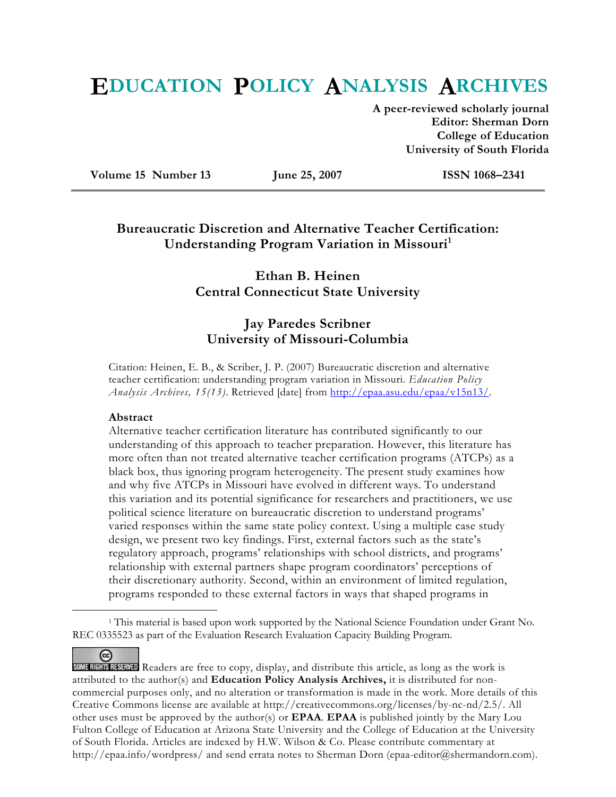# **EDUCATION POLICY ANALYSIS ARCHIVES**

**A peer-reviewed scholarly journal Editor: Sherman Dorn College of Education University of South Florida** 

**Volume 15 Number 13 June 25, 2007 ISSN 1068–2341** 

## **Bureaucratic Discretion and Alternative Teacher Certification: Understanding Program Variation in Missouri**<sup>1</sup>

## **Ethan B. Heinen Central Connecticut State University**

## **Jay Paredes Scribner University of Missouri-Columbia**

Citation: Heinen, E. B., & Scriber, J. P. (2007) Bureaucratic discretion and alternative teacher certification: understanding program variation in Missouri. *Education Policy Analysis Archives, 15(13)*. Retrieved [date] from http://epaa.asu.edu/epaa/v15n13/.

#### **Abstract**

(တ

Alternative teacher certification literature has contributed significantly to our understanding of this approach to teacher preparation. However, this literature has more often than not treated alternative teacher certification programs (ATCPs) as a black box, thus ignoring program heterogeneity. The present study examines how and why five ATCPs in Missouri have evolved in different ways. To understand this variation and its potential significance for researchers and practitioners, we use political science literature on bureaucratic discretion to understand programs' varied responses within the same state policy context. Using a multiple case study design, we present two key findings. First, external factors such as the state's regulatory approach, programs' relationships with school districts, and programs' relationship with external partners shape program coordinators' perceptions of their discretionary authority. Second, within an environment of limited regulation, programs responded to these external factors in ways that shaped programs in

 <sup>1</sup> This material is based upon work supported by the National Science Foundation under Grant No. REC 0335523 as part of the Evaluation Research Evaluation Capacity Building Program.

SOME RIGHTS RESERVED Readers are free to copy, display, and distribute this article, as long as the work is attributed to the author(s) and **Education Policy Analysis Archives,** it is distributed for noncommercial purposes only, and no alteration or transformation is made in the work. More details of this Creative Commons license are available at http://creativecommons.org/licenses/by-nc-nd/2.5/. All other uses must be approved by the author(s) or **EPAA**. **EPAA** is published jointly by the Mary Lou Fulton College of Education at Arizona State University and the College of Education at the University of South Florida. Articles are indexed by H.W. Wilson & Co. Please contribute commentary at http://epaa.info/wordpress/ and send errata notes to Sherman Dorn (epaa-editor@shermandorn.com).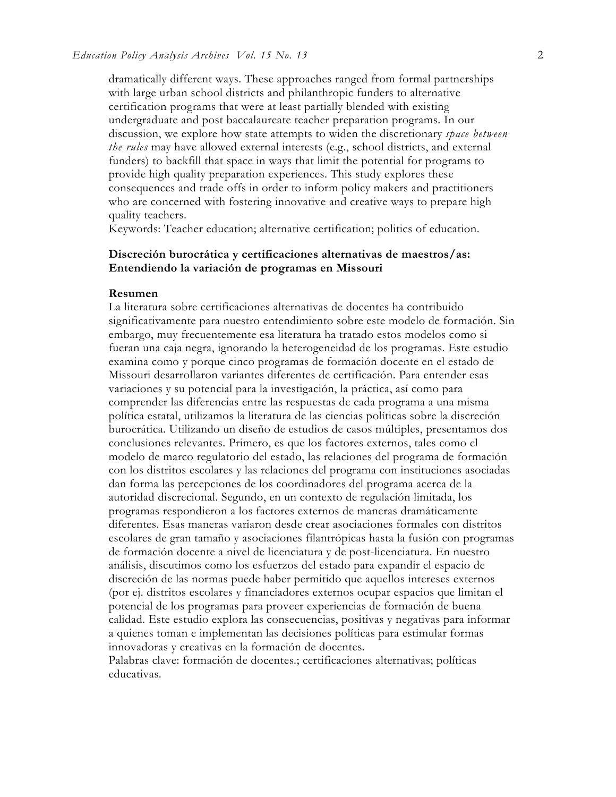dramatically different ways. These approaches ranged from formal partnerships with large urban school districts and philanthropic funders to alternative certification programs that were at least partially blended with existing undergraduate and post baccalaureate teacher preparation programs. In our discussion, we explore how state attempts to widen the discretionary *space between the rules* may have allowed external interests (e.g., school districts, and external funders) to backfill that space in ways that limit the potential for programs to provide high quality preparation experiences. This study explores these consequences and trade offs in order to inform policy makers and practitioners who are concerned with fostering innovative and creative ways to prepare high quality teachers.

Keywords: Teacher education; alternative certification; politics of education.

## **Discreción burocrática y certificaciones alternativas de maestros/as: Entendiendo la variación de programas en Missouri**

#### **Resumen**

La literatura sobre certificaciones alternativas de docentes ha contribuido significativamente para nuestro entendimiento sobre este modelo de formación. Sin embargo, muy frecuentemente esa literatura ha tratado estos modelos como si fueran una caja negra, ignorando la heterogeneidad de los programas. Este estudio examina como y porque cinco programas de formación docente en el estado de Missouri desarrollaron variantes diferentes de certificación. Para entender esas variaciones y su potencial para la investigación, la práctica, así como para comprender las diferencias entre las respuestas de cada programa a una misma política estatal, utilizamos la literatura de las ciencias políticas sobre la discreción burocrática. Utilizando un diseño de estudios de casos múltiples, presentamos dos conclusiones relevantes. Primero, es que los factores externos, tales como el modelo de marco regulatorio del estado, las relaciones del programa de formación con los distritos escolares y las relaciones del programa con instituciones asociadas dan forma las percepciones de los coordinadores del programa acerca de la autoridad discrecional. Segundo, en un contexto de regulación limitada, los programas respondieron a los factores externos de maneras dramáticamente diferentes. Esas maneras variaron desde crear asociaciones formales con distritos escolares de gran tamaño y asociaciones filantrópicas hasta la fusión con programas de formación docente a nivel de licenciatura y de post-licenciatura. En nuestro análisis, discutimos como los esfuerzos del estado para expandir el espacio de discreción de las normas puede haber permitido que aquellos intereses externos (por ej. distritos escolares y financiadores externos ocupar espacios que limitan el potencial de los programas para proveer experiencias de formación de buena calidad. Este estudio explora las consecuencias, positivas y negativas para informar a quienes toman e implementan las decisiones políticas para estimular formas innovadoras y creativas en la formación de docentes.

Palabras clave: formación de docentes.; certificaciones alternativas; políticas educativas.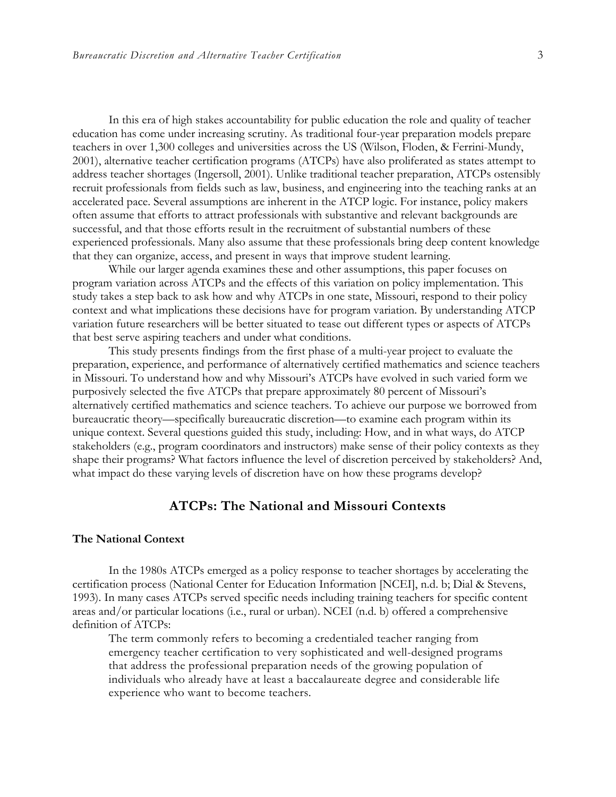In this era of high stakes accountability for public education the role and quality of teacher education has come under increasing scrutiny. As traditional four-year preparation models prepare teachers in over 1,300 colleges and universities across the US (Wilson, Floden, & Ferrini-Mundy, 2001), alternative teacher certification programs (ATCPs) have also proliferated as states attempt to address teacher shortages (Ingersoll, 2001). Unlike traditional teacher preparation, ATCPs ostensibly recruit professionals from fields such as law, business, and engineering into the teaching ranks at an accelerated pace. Several assumptions are inherent in the ATCP logic. For instance, policy makers often assume that efforts to attract professionals with substantive and relevant backgrounds are successful, and that those efforts result in the recruitment of substantial numbers of these experienced professionals. Many also assume that these professionals bring deep content knowledge that they can organize, access, and present in ways that improve student learning.

While our larger agenda examines these and other assumptions, this paper focuses on program variation across ATCPs and the effects of this variation on policy implementation. This study takes a step back to ask how and why ATCPs in one state, Missouri, respond to their policy context and what implications these decisions have for program variation. By understanding ATCP variation future researchers will be better situated to tease out different types or aspects of ATCPs that best serve aspiring teachers and under what conditions.

This study presents findings from the first phase of a multi-year project to evaluate the preparation, experience, and performance of alternatively certified mathematics and science teachers in Missouri. To understand how and why Missouri's ATCPs have evolved in such varied form we purposively selected the five ATCPs that prepare approximately 80 percent of Missouri's alternatively certified mathematics and science teachers. To achieve our purpose we borrowed from bureaucratic theory—specifically bureaucratic discretion—to examine each program within its unique context. Several questions guided this study, including: How, and in what ways, do ATCP stakeholders (e.g., program coordinators and instructors) make sense of their policy contexts as they shape their programs? What factors influence the level of discretion perceived by stakeholders? And, what impact do these varying levels of discretion have on how these programs develop?

## **ATCPs: The National and Missouri Contexts**

#### **The National Context**

In the 1980s ATCPs emerged as a policy response to teacher shortages by accelerating the certification process (National Center for Education Information [NCEI], n.d. b; Dial & Stevens, 1993). In many cases ATCPs served specific needs including training teachers for specific content areas and/or particular locations (i.e., rural or urban). NCEI (n.d. b) offered a comprehensive definition of ATCPs:

The term commonly refers to becoming a credentialed teacher ranging from emergency teacher certification to very sophisticated and well-designed programs that address the professional preparation needs of the growing population of individuals who already have at least a baccalaureate degree and considerable life experience who want to become teachers.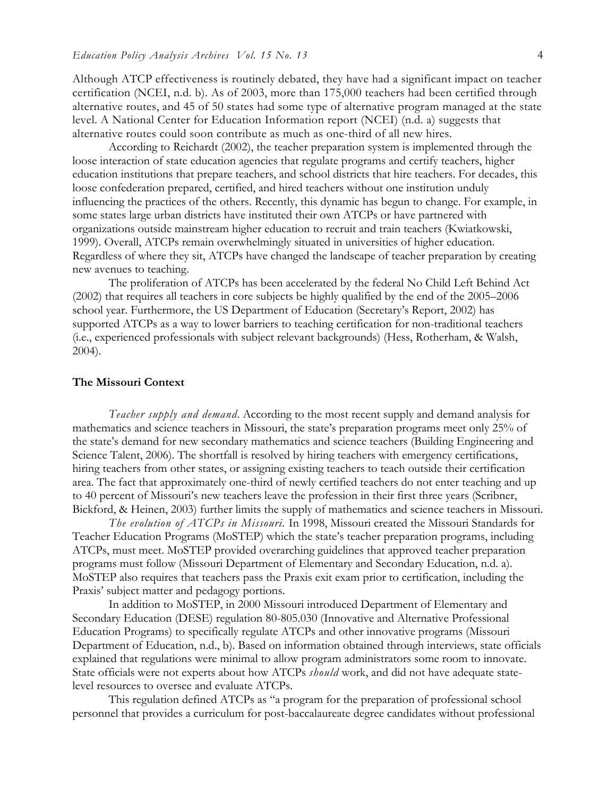Although ATCP effectiveness is routinely debated, they have had a significant impact on teacher certification (NCEI, n.d. b). As of 2003, more than 175,000 teachers had been certified through alternative routes, and 45 of 50 states had some type of alternative program managed at the state level. A National Center for Education Information report (NCEI) (n.d. a) suggests that alternative routes could soon contribute as much as one-third of all new hires.

According to Reichardt (2002), the teacher preparation system is implemented through the loose interaction of state education agencies that regulate programs and certify teachers, higher education institutions that prepare teachers, and school districts that hire teachers. For decades, this loose confederation prepared, certified, and hired teachers without one institution unduly influencing the practices of the others. Recently, this dynamic has begun to change. For example, in some states large urban districts have instituted their own ATCPs or have partnered with organizations outside mainstream higher education to recruit and train teachers (Kwiatkowski, 1999). Overall, ATCPs remain overwhelmingly situated in universities of higher education. Regardless of where they sit, ATCPs have changed the landscape of teacher preparation by creating new avenues to teaching.

The proliferation of ATCPs has been accelerated by the federal No Child Left Behind Act (2002) that requires all teachers in core subjects be highly qualified by the end of the 2005–2006 school year. Furthermore, the US Department of Education (Secretary's Report, 2002) has supported ATCPs as a way to lower barriers to teaching certification for non-traditional teachers (i.e., experienced professionals with subject relevant backgrounds) (Hess, Rotherham, & Walsh, 2004).

#### **The Missouri Context**

*Teacher supply and demand*. According to the most recent supply and demand analysis for mathematics and science teachers in Missouri, the state's preparation programs meet only 25% of the state's demand for new secondary mathematics and science teachers (Building Engineering and Science Talent, 2006). The shortfall is resolved by hiring teachers with emergency certifications, hiring teachers from other states, or assigning existing teachers to teach outside their certification area. The fact that approximately one-third of newly certified teachers do not enter teaching and up to 40 percent of Missouri's new teachers leave the profession in their first three years (Scribner, Bickford, & Heinen, 2003) further limits the supply of mathematics and science teachers in Missouri.

*The evolution of ATCPs in Missouri.* In 1998, Missouri created the Missouri Standards for Teacher Education Programs (MoSTEP) which the state's teacher preparation programs, including ATCPs, must meet. MoSTEP provided overarching guidelines that approved teacher preparation programs must follow (Missouri Department of Elementary and Secondary Education, n.d. a). MoSTEP also requires that teachers pass the Praxis exit exam prior to certification, including the Praxis' subject matter and pedagogy portions.

In addition to MoSTEP, in 2000 Missouri introduced Department of Elementary and Secondary Education (DESE) regulation 80-805.030 (Innovative and Alternative Professional Education Programs) to specifically regulate ATCPs and other innovative programs (Missouri Department of Education, n.d., b). Based on information obtained through interviews, state officials explained that regulations were minimal to allow program administrators some room to innovate. State officials were not experts about how ATCPs *should* work, and did not have adequate statelevel resources to oversee and evaluate ATCPs.

This regulation defined ATCPs as "a program for the preparation of professional school personnel that provides a curriculum for post-baccalaureate degree candidates without professional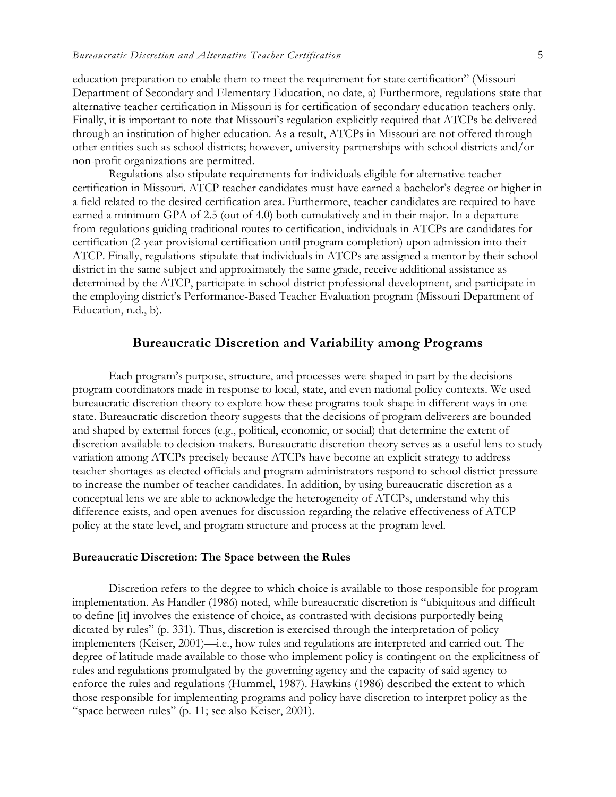education preparation to enable them to meet the requirement for state certification" (Missouri Department of Secondary and Elementary Education, no date, a) Furthermore, regulations state that alternative teacher certification in Missouri is for certification of secondary education teachers only. Finally, it is important to note that Missouri's regulation explicitly required that ATCPs be delivered through an institution of higher education. As a result, ATCPs in Missouri are not offered through other entities such as school districts; however, university partnerships with school districts and/or non-profit organizations are permitted.

Regulations also stipulate requirements for individuals eligible for alternative teacher certification in Missouri. ATCP teacher candidates must have earned a bachelor's degree or higher in a field related to the desired certification area. Furthermore, teacher candidates are required to have earned a minimum GPA of 2.5 (out of 4.0) both cumulatively and in their major. In a departure from regulations guiding traditional routes to certification, individuals in ATCPs are candidates for certification (2-year provisional certification until program completion) upon admission into their ATCP. Finally, regulations stipulate that individuals in ATCPs are assigned a mentor by their school district in the same subject and approximately the same grade, receive additional assistance as determined by the ATCP, participate in school district professional development, and participate in the employing district's Performance-Based Teacher Evaluation program (Missouri Department of Education, n.d., b).

## **Bureaucratic Discretion and Variability among Programs**

Each program's purpose, structure, and processes were shaped in part by the decisions program coordinators made in response to local, state, and even national policy contexts. We used bureaucratic discretion theory to explore how these programs took shape in different ways in one state. Bureaucratic discretion theory suggests that the decisions of program deliverers are bounded and shaped by external forces (e.g., political, economic, or social) that determine the extent of discretion available to decision-makers. Bureaucratic discretion theory serves as a useful lens to study variation among ATCPs precisely because ATCPs have become an explicit strategy to address teacher shortages as elected officials and program administrators respond to school district pressure to increase the number of teacher candidates. In addition, by using bureaucratic discretion as a conceptual lens we are able to acknowledge the heterogeneity of ATCPs, understand why this difference exists, and open avenues for discussion regarding the relative effectiveness of ATCP policy at the state level, and program structure and process at the program level.

#### **Bureaucratic Discretion: The Space between the Rules**

Discretion refers to the degree to which choice is available to those responsible for program implementation. As Handler (1986) noted, while bureaucratic discretion is "ubiquitous and difficult to define [it] involves the existence of choice, as contrasted with decisions purportedly being dictated by rules" (p. 331). Thus, discretion is exercised through the interpretation of policy implementers (Keiser, 2001)—i.e., how rules and regulations are interpreted and carried out. The degree of latitude made available to those who implement policy is contingent on the explicitness of rules and regulations promulgated by the governing agency and the capacity of said agency to enforce the rules and regulations (Hummel, 1987). Hawkins (1986) described the extent to which those responsible for implementing programs and policy have discretion to interpret policy as the "space between rules" (p. 11; see also Keiser, 2001).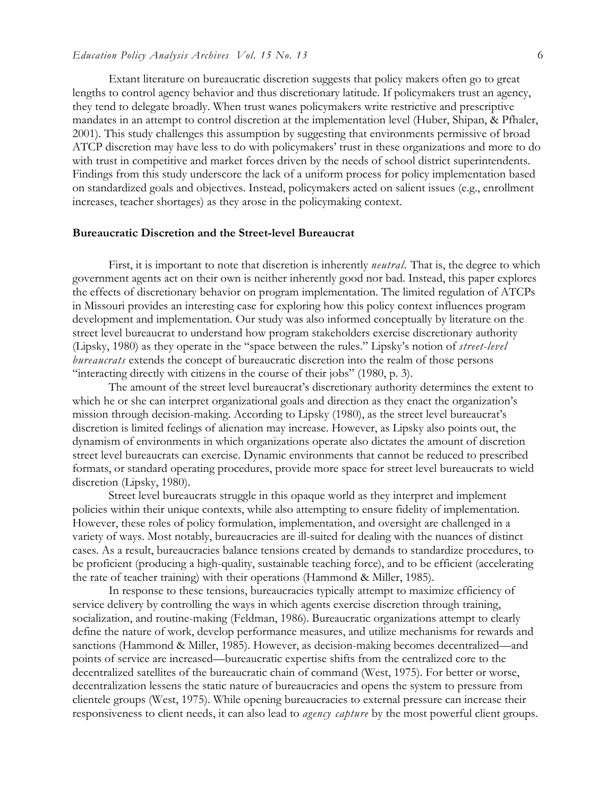#### *Education Policy Analysis Archives Vol. 15 No. 13* 6

Extant literature on bureaucratic discretion suggests that policy makers often go to great lengths to control agency behavior and thus discretionary latitude. If policymakers trust an agency, they tend to delegate broadly. When trust wanes policymakers write restrictive and prescriptive mandates in an attempt to control discretion at the implementation level (Huber, Shipan, & Pfhaler, 2001). This study challenges this assumption by suggesting that environments permissive of broad ATCP discretion may have less to do with policymakers' trust in these organizations and more to do with trust in competitive and market forces driven by the needs of school district superintendents. Findings from this study underscore the lack of a uniform process for policy implementation based on standardized goals and objectives. Instead, policymakers acted on salient issues (e.g., enrollment increases, teacher shortages) as they arose in the policymaking context.

#### **Bureaucratic Discretion and the Street-level Bureaucrat**

First, it is important to note that discretion is inherently *neutral.* That is, the degree to which government agents act on their own is neither inherently good nor bad. Instead, this paper explores the effects of discretionary behavior on program implementation. The limited regulation of ATCPs in Missouri provides an interesting case for exploring how this policy context influences program development and implementation. Our study was also informed conceptually by literature on the street level bureaucrat to understand how program stakeholders exercise discretionary authority (Lipsky, 1980) as they operate in the "space between the rules." Lipsky's notion of *street-level bureaucrats* extends the concept of bureaucratic discretion into the realm of those persons "interacting directly with citizens in the course of their jobs" (1980, p. 3).

The amount of the street level bureaucrat's discretionary authority determines the extent to which he or she can interpret organizational goals and direction as they enact the organization's mission through decision-making. According to Lipsky (1980), as the street level bureaucrat's discretion is limited feelings of alienation may increase. However, as Lipsky also points out, the dynamism of environments in which organizations operate also dictates the amount of discretion street level bureaucrats can exercise. Dynamic environments that cannot be reduced to prescribed formats, or standard operating procedures, provide more space for street level bureaucrats to wield discretion (Lipsky, 1980).

Street level bureaucrats struggle in this opaque world as they interpret and implement policies within their unique contexts, while also attempting to ensure fidelity of implementation. However, these roles of policy formulation, implementation, and oversight are challenged in a variety of ways. Most notably, bureaucracies are ill-suited for dealing with the nuances of distinct cases. As a result, bureaucracies balance tensions created by demands to standardize procedures, to be proficient (producing a high-quality, sustainable teaching force), and to be efficient (accelerating the rate of teacher training) with their operations (Hammond & Miller, 1985).

In response to these tensions, bureaucracies typically attempt to maximize efficiency of service delivery by controlling the ways in which agents exercise discretion through training, socialization, and routine-making (Feldman, 1986). Bureaucratic organizations attempt to clearly define the nature of work, develop performance measures, and utilize mechanisms for rewards and sanctions (Hammond & Miller, 1985). However, as decision-making becomes decentralized—and points of service are increased—bureaucratic expertise shifts from the centralized core to the decentralized satellites of the bureaucratic chain of command (West, 1975). For better or worse, decentralization lessens the static nature of bureaucracies and opens the system to pressure from clientele groups (West, 1975). While opening bureaucracies to external pressure can increase their responsiveness to client needs, it can also lead to *agency capture* by the most powerful client groups.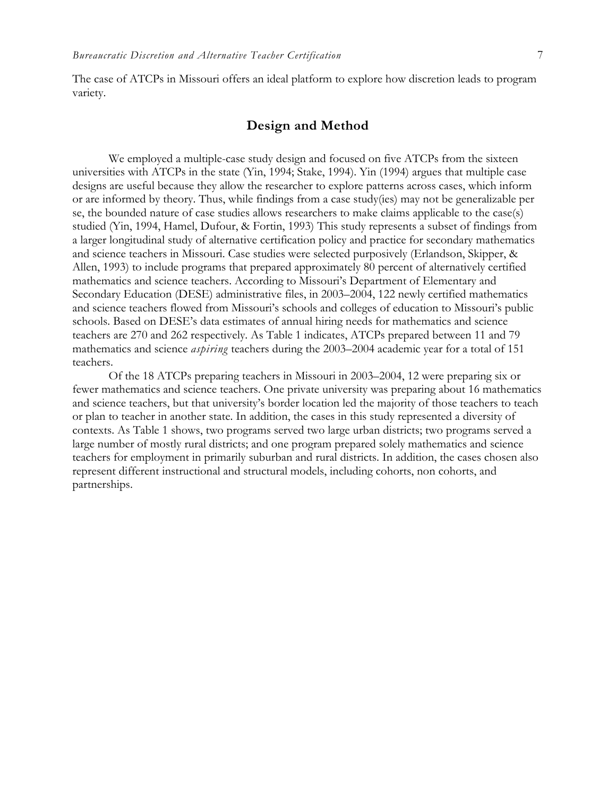The case of ATCPs in Missouri offers an ideal platform to explore how discretion leads to program variety.

## **Design and Method**

We employed a multiple-case study design and focused on five ATCPs from the sixteen universities with ATCPs in the state (Yin, 1994; Stake, 1994). Yin (1994) argues that multiple case designs are useful because they allow the researcher to explore patterns across cases, which inform or are informed by theory. Thus, while findings from a case study(ies) may not be generalizable per se, the bounded nature of case studies allows researchers to make claims applicable to the case(s) studied (Yin, 1994, Hamel, Dufour, & Fortin, 1993) This study represents a subset of findings from a larger longitudinal study of alternative certification policy and practice for secondary mathematics and science teachers in Missouri. Case studies were selected purposively (Erlandson, Skipper, & Allen, 1993) to include programs that prepared approximately 80 percent of alternatively certified mathematics and science teachers. According to Missouri's Department of Elementary and Secondary Education (DESE) administrative files, in 2003–2004, 122 newly certified mathematics and science teachers flowed from Missouri's schools and colleges of education to Missouri's public schools. Based on DESE's data estimates of annual hiring needs for mathematics and science teachers are 270 and 262 respectively. As Table 1 indicates, ATCPs prepared between 11 and 79 mathematics and science *aspiring* teachers during the 2003–2004 academic year for a total of 151 teachers.

Of the 18 ATCPs preparing teachers in Missouri in 2003–2004, 12 were preparing six or fewer mathematics and science teachers. One private university was preparing about 16 mathematics and science teachers, but that university's border location led the majority of those teachers to teach or plan to teacher in another state. In addition, the cases in this study represented a diversity of contexts. As Table 1 shows, two programs served two large urban districts; two programs served a large number of mostly rural districts; and one program prepared solely mathematics and science teachers for employment in primarily suburban and rural districts. In addition, the cases chosen also represent different instructional and structural models, including cohorts, non cohorts, and partnerships.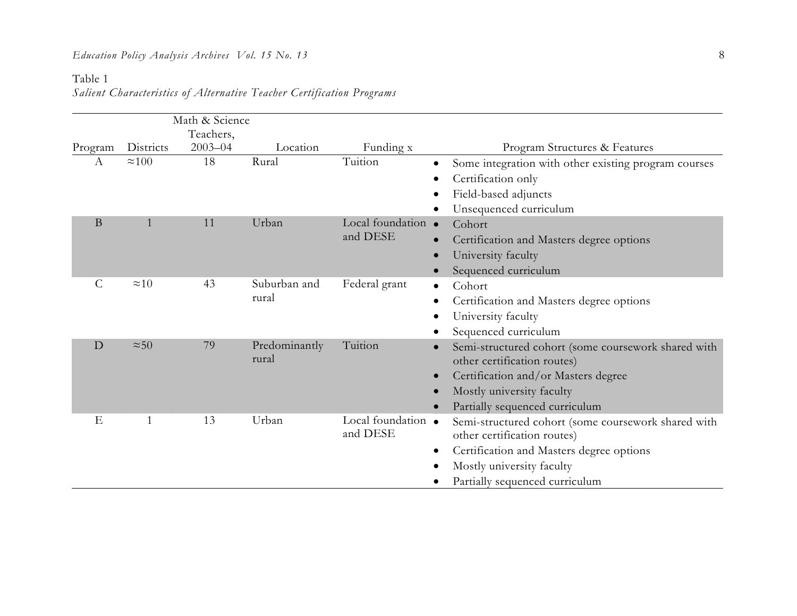#### Table 1

*Salient Characteristics of Alternative Teacher Certification Programs* 

|                  |               | Math & Science |                        |                                |                                                       |
|------------------|---------------|----------------|------------------------|--------------------------------|-------------------------------------------------------|
|                  |               | Teachers,      |                        |                                |                                                       |
| Program          | Districts     | $2003 - 04$    | Location               | Funding x                      | Program Structures & Features                         |
| $\boldsymbol{A}$ | $\approx$ 100 | 18             | Rural                  | Tuition                        | Some integration with other existing program courses  |
|                  |               |                |                        |                                | Certification only                                    |
|                  |               |                |                        |                                | Field-based adjuncts                                  |
|                  |               |                |                        |                                | Unsequenced curriculum                                |
| B                |               | 11             | Urban                  | Local foundation •<br>and DESE | Cohort                                                |
|                  |               |                |                        |                                | Certification and Masters degree options              |
|                  |               |                |                        |                                | University faculty                                    |
|                  |               |                |                        |                                | Sequenced curriculum                                  |
| $\mathcal{C}$    | $\approx 10$  | 43             | Suburban and<br>rural  | Federal grant                  | Cohort                                                |
|                  |               |                |                        |                                | Certification and Masters degree options              |
|                  |               |                |                        |                                | University faculty                                    |
|                  |               |                |                        |                                | Sequenced curriculum                                  |
| D                | $\approx 50$  | 79             | Predominantly<br>rural | Tuition                        | Semi-structured cohort (some coursework shared with   |
|                  |               |                |                        |                                | other certification routes)                           |
|                  |               |                |                        |                                | Certification and/or Masters degree                   |
|                  |               |                |                        |                                | Mostly university faculty                             |
|                  |               |                |                        |                                | Partially sequenced curriculum                        |
| E                | 1             | 13             | Urban                  | Local foundation •<br>and DESE | Semi-structured cohort (some coursework shared with   |
|                  |               |                |                        |                                | other certification routes)                           |
|                  |               |                |                        |                                | Certification and Masters degree options<br>$\bullet$ |
|                  |               |                |                        |                                | Mostly university faculty                             |
|                  |               |                |                        |                                | Partially sequenced curriculum                        |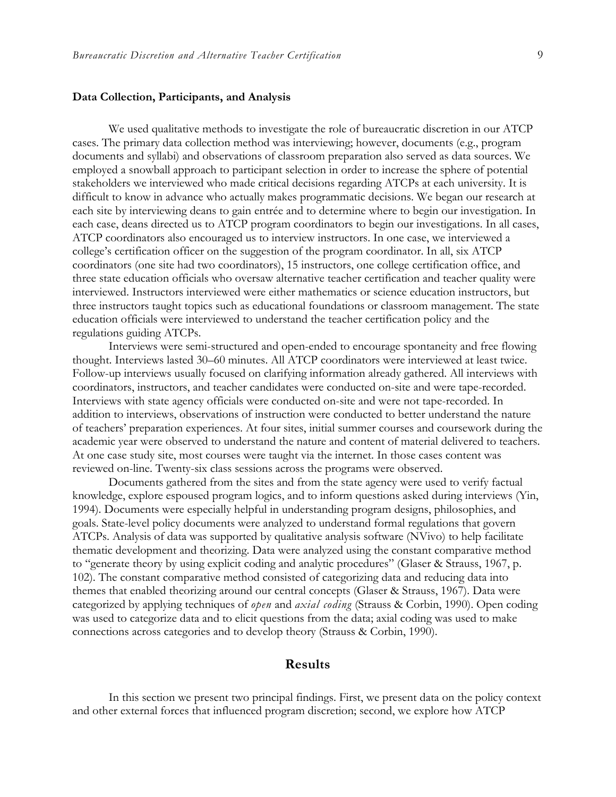#### **Data Collection, Participants, and Analysis**

We used qualitative methods to investigate the role of bureaucratic discretion in our ATCP cases. The primary data collection method was interviewing; however, documents (e.g., program documents and syllabi) and observations of classroom preparation also served as data sources. We employed a snowball approach to participant selection in order to increase the sphere of potential stakeholders we interviewed who made critical decisions regarding ATCPs at each university. It is difficult to know in advance who actually makes programmatic decisions. We began our research at each site by interviewing deans to gain entrée and to determine where to begin our investigation. In each case, deans directed us to ATCP program coordinators to begin our investigations. In all cases, ATCP coordinators also encouraged us to interview instructors. In one case, we interviewed a college's certification officer on the suggestion of the program coordinator. In all, six ATCP coordinators (one site had two coordinators), 15 instructors, one college certification office, and three state education officials who oversaw alternative teacher certification and teacher quality were interviewed. Instructors interviewed were either mathematics or science education instructors, but three instructors taught topics such as educational foundations or classroom management. The state education officials were interviewed to understand the teacher certification policy and the regulations guiding ATCPs.

Interviews were semi-structured and open-ended to encourage spontaneity and free flowing thought. Interviews lasted 30–60 minutes. All ATCP coordinators were interviewed at least twice. Follow-up interviews usually focused on clarifying information already gathered. All interviews with coordinators, instructors, and teacher candidates were conducted on-site and were tape-recorded. Interviews with state agency officials were conducted on-site and were not tape-recorded. In addition to interviews, observations of instruction were conducted to better understand the nature of teachers' preparation experiences. At four sites, initial summer courses and coursework during the academic year were observed to understand the nature and content of material delivered to teachers. At one case study site, most courses were taught via the internet. In those cases content was reviewed on-line. Twenty-six class sessions across the programs were observed.

Documents gathered from the sites and from the state agency were used to verify factual knowledge, explore espoused program logics, and to inform questions asked during interviews (Yin, 1994). Documents were especially helpful in understanding program designs, philosophies, and goals. State-level policy documents were analyzed to understand formal regulations that govern ATCPs. Analysis of data was supported by qualitative analysis software (NVivo) to help facilitate thematic development and theorizing. Data were analyzed using the constant comparative method to "generate theory by using explicit coding and analytic procedures" (Glaser & Strauss, 1967, p. 102). The constant comparative method consisted of categorizing data and reducing data into themes that enabled theorizing around our central concepts (Glaser & Strauss, 1967). Data were categorized by applying techniques of *open* and *axial coding* (Strauss & Corbin, 1990). Open coding was used to categorize data and to elicit questions from the data; axial coding was used to make connections across categories and to develop theory (Strauss & Corbin, 1990).

## **Results**

In this section we present two principal findings. First, we present data on the policy context and other external forces that influenced program discretion; second, we explore how ATCP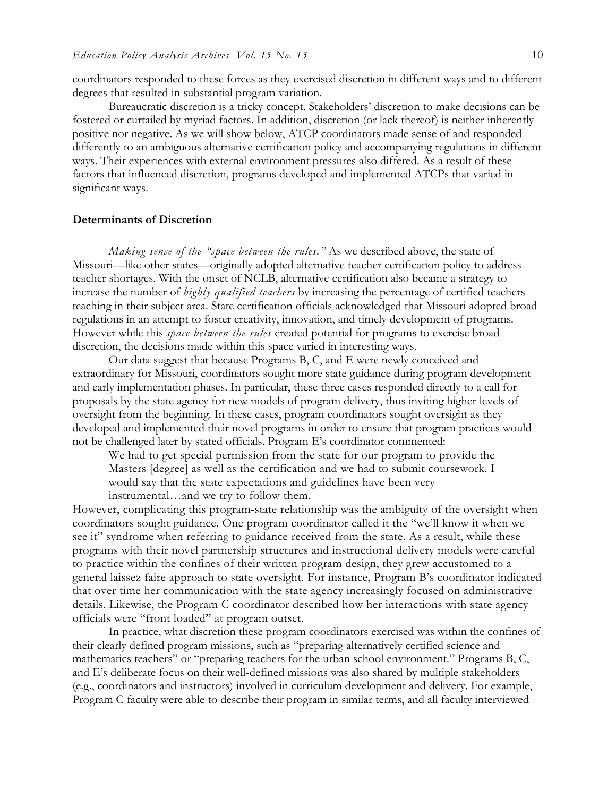coordinators responded to these forces as they exercised discretion in different ways and to different degrees that resulted in substantial program variation.

Bureaucratic discretion is a tricky concept. Stakeholders' discretion to make decisions can be fostered or curtailed by myriad factors. In addition, discretion (or lack thereof) is neither inherently positive nor negative. As we will show below, ATCP coordinators made sense of and responded differently to an ambiguous alternative certification policy and accompanying regulations in different ways. Their experiences with external environment pressures also differed. As a result of these factors that influenced discretion, programs developed and implemented ATCPs that varied in significant ways.

#### **Determinants of Discretion**

*Making sense of the "space between the rules."* As we described above, the state of Missouri—like other states—originally adopted alternative teacher certification policy to address teacher shortages. With the onset of NCLB, alternative certification also became a strategy to increase the number of *highly qualified teachers* by increasing the percentage of certified teachers teaching in their subject area. State certification officials acknowledged that Missouri adopted broad regulations in an attempt to foster creativity, innovation, and timely development of programs. However while this *space between the rules* created potential for programs to exercise broad discretion, the decisions made within this space varied in interesting ways.

Our data suggest that because Programs B, C, and E were newly conceived and extraordinary for Missouri, coordinators sought more state guidance during program development and early implementation phases. In particular, these three cases responded directly to a call for proposals by the state agency for new models of program delivery, thus inviting higher levels of oversight from the beginning. In these cases, program coordinators sought oversight as they developed and implemented their novel programs in order to ensure that program practices would not be challenged later by stated officials. Program E's coordinator commented:

We had to get special permission from the state for our program to provide the Masters [degree] as well as the certification and we had to submit coursework. I would say that the state expectations and guidelines have been very instrumental…and we try to follow them.

However, complicating this program-state relationship was the ambiguity of the oversight when coordinators sought guidance. One program coordinator called it the "we'll know it when we see it" syndrome when referring to guidance received from the state. As a result, while these programs with their novel partnership structures and instructional delivery models were careful to practice within the confines of their written program design, they grew accustomed to a general laissez faire approach to state oversight. For instance, Program B's coordinator indicated that over time her communication with the state agency increasingly focused on administrative details. Likewise, the Program C coordinator described how her interactions with state agency officials were "front loaded" at program outset.

In practice, what discretion these program coordinators exercised was within the confines of their clearly defined program missions, such as "preparing alternatively certified science and mathematics teachers" or "preparing teachers for the urban school environment." Programs B, C, and E's deliberate focus on their well-defined missions was also shared by multiple stakeholders (e.g., coordinators and instructors) involved in curriculum development and delivery. For example, Program C faculty were able to describe their program in similar terms, and all faculty interviewed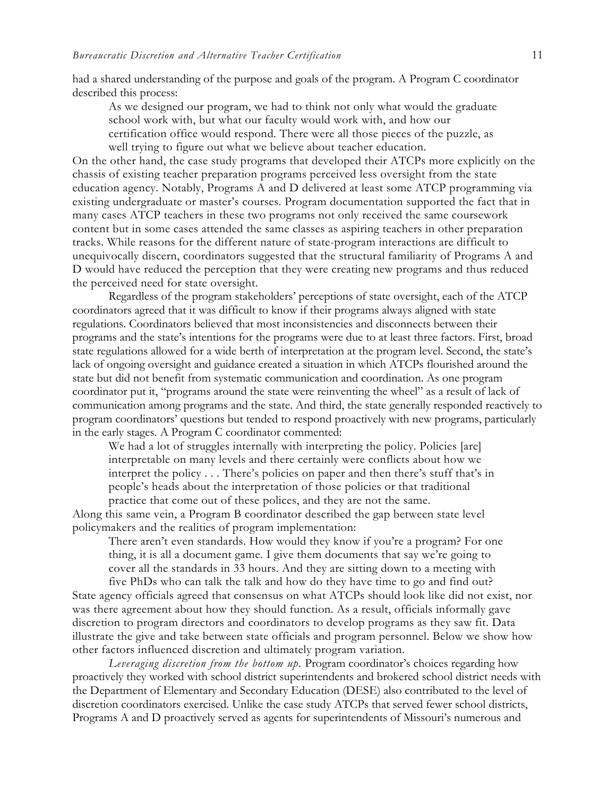had a shared understanding of the purpose and goals of the program. A Program C coordinator described this process:

As we designed our program, we had to think not only what would the graduate school work with, but what our faculty would work with, and how our certification office would respond. There were all those pieces of the puzzle, as well trying to figure out what we believe about teacher education.

On the other hand, the case study programs that developed their ATCPs more explicitly on the chassis of existing teacher preparation programs perceived less oversight from the state education agency. Notably, Programs A and D delivered at least some ATCP programming via existing undergraduate or master's courses. Program documentation supported the fact that in many cases ATCP teachers in these two programs not only received the same coursework content but in some cases attended the same classes as aspiring teachers in other preparation tracks. While reasons for the different nature of state-program interactions are difficult to unequivocally discern, coordinators suggested that the structural familiarity of Programs A and D would have reduced the perception that they were creating new programs and thus reduced the perceived need for state oversight.

Regardless of the program stakeholders' perceptions of state oversight, each of the ATCP coordinators agreed that it was difficult to know if their programs always aligned with state regulations. Coordinators believed that most inconsistencies and disconnects between their programs and the state's intentions for the programs were due to at least three factors. First, broad state regulations allowed for a wide berth of interpretation at the program level. Second, the state's lack of ongoing oversight and guidance created a situation in which ATCPs flourished around the state but did not benefit from systematic communication and coordination. As one program coordinator put it, "programs around the state were reinventing the wheel" as a result of lack of communication among programs and the state. And third, the state generally responded reactively to program coordinators' questions but tended to respond proactively with new programs, particularly in the early stages. A Program C coordinator commented:

We had a lot of struggles internally with interpreting the policy. Policies [are] interpretable on many levels and there certainly were conflicts about how we interpret the policy . . . There's policies on paper and then there's stuff that's in people's heads about the interpretation of those policies or that traditional practice that come out of these polices, and they are not the same.

Along this same vein, a Program B coordinator described the gap between state level policymakers and the realities of program implementation:

There aren't even standards. How would they know if you're a program? For one thing, it is all a document game. I give them documents that say we're going to cover all the standards in 33 hours. And they are sitting down to a meeting with

five PhDs who can talk the talk and how do they have time to go and find out? State agency officials agreed that consensus on what ATCPs should look like did not exist, nor was there agreement about how they should function. As a result, officials informally gave discretion to program directors and coordinators to develop programs as they saw fit. Data illustrate the give and take between state officials and program personnel. Below we show how other factors influenced discretion and ultimately program variation.

*Leveraging discretion from the bottom up.* Program coordinator's choices regarding how proactively they worked with school district superintendents and brokered school district needs with the Department of Elementary and Secondary Education (DESE) also contributed to the level of discretion coordinators exercised. Unlike the case study ATCPs that served fewer school districts, Programs A and D proactively served as agents for superintendents of Missouri's numerous and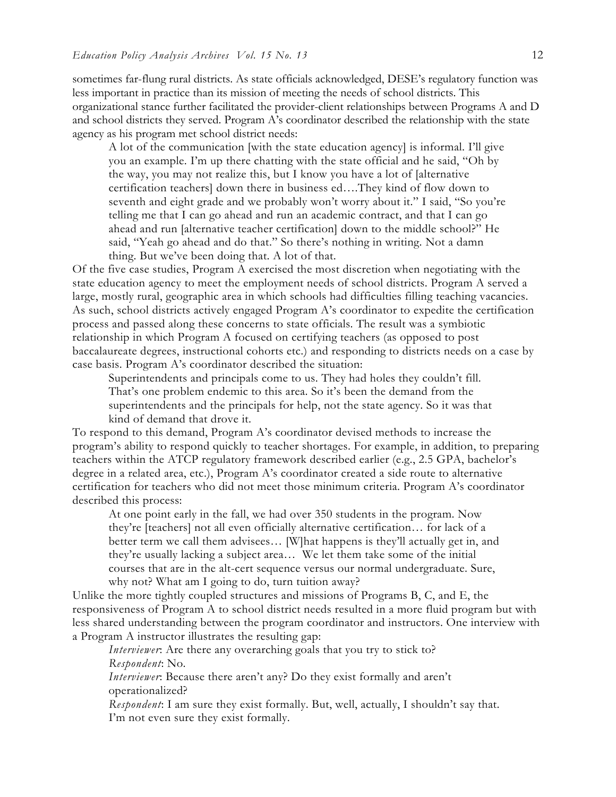sometimes far-flung rural districts. As state officials acknowledged, DESE's regulatory function was less important in practice than its mission of meeting the needs of school districts. This organizational stance further facilitated the provider-client relationships between Programs A and D and school districts they served. Program A's coordinator described the relationship with the state agency as his program met school district needs:

A lot of the communication [with the state education agency] is informal. I'll give you an example. I'm up there chatting with the state official and he said, "Oh by the way, you may not realize this, but I know you have a lot of [alternative certification teachers] down there in business ed….They kind of flow down to seventh and eight grade and we probably won't worry about it." I said, "So you're telling me that I can go ahead and run an academic contract, and that I can go ahead and run [alternative teacher certification] down to the middle school?" He said, "Yeah go ahead and do that." So there's nothing in writing. Not a damn thing. But we've been doing that. A lot of that.

Of the five case studies, Program A exercised the most discretion when negotiating with the state education agency to meet the employment needs of school districts. Program A served a large, mostly rural, geographic area in which schools had difficulties filling teaching vacancies. As such, school districts actively engaged Program A's coordinator to expedite the certification process and passed along these concerns to state officials. The result was a symbiotic relationship in which Program A focused on certifying teachers (as opposed to post baccalaureate degrees, instructional cohorts etc.) and responding to districts needs on a case by case basis. Program A's coordinator described the situation:

Superintendents and principals come to us. They had holes they couldn't fill. That's one problem endemic to this area. So it's been the demand from the superintendents and the principals for help, not the state agency. So it was that kind of demand that drove it.

To respond to this demand, Program A's coordinator devised methods to increase the program's ability to respond quickly to teacher shortages. For example, in addition, to preparing teachers within the ATCP regulatory framework described earlier (e.g., 2.5 GPA, bachelor's degree in a related area, etc.), Program A's coordinator created a side route to alternative certification for teachers who did not meet those minimum criteria. Program A's coordinator described this process:

At one point early in the fall, we had over 350 students in the program. Now they're [teachers] not all even officially alternative certification… for lack of a better term we call them advisees… [W]hat happens is they'll actually get in, and they're usually lacking a subject area… We let them take some of the initial courses that are in the alt-cert sequence versus our normal undergraduate. Sure, why not? What am I going to do, turn tuition away?

Unlike the more tightly coupled structures and missions of Programs B, C, and E, the responsiveness of Program A to school district needs resulted in a more fluid program but with less shared understanding between the program coordinator and instructors. One interview with a Program A instructor illustrates the resulting gap:

*Interviewer*: Are there any overarching goals that you try to stick to? *Respondent*: No.

*Interviewer*: Because there aren't any? Do they exist formally and aren't operationalized?

*Respondent*: I am sure they exist formally. But, well, actually, I shouldn't say that. I'm not even sure they exist formally.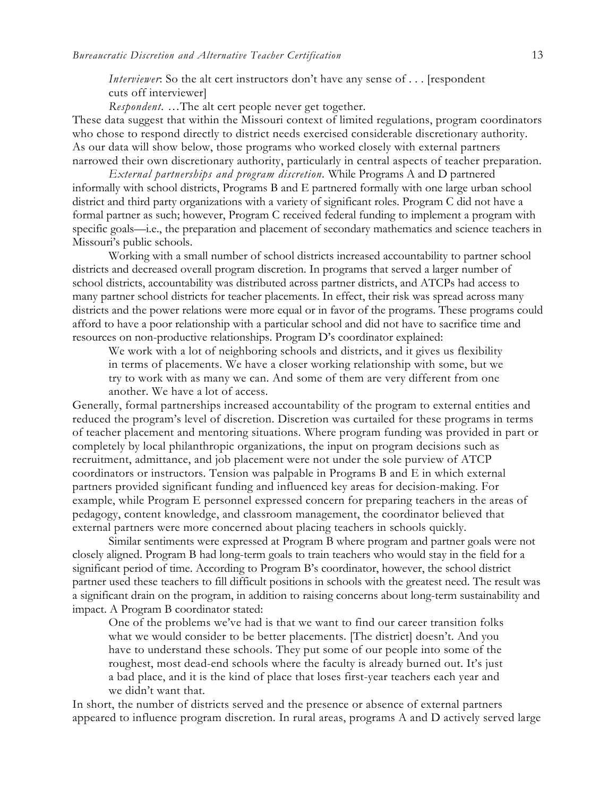*Interviewer*: So the alt cert instructors don't have any sense of . . . [respondent cuts off interviewer]

*Respondent.* …The alt cert people never get together.

These data suggest that within the Missouri context of limited regulations, program coordinators who chose to respond directly to district needs exercised considerable discretionary authority. As our data will show below, those programs who worked closely with external partners narrowed their own discretionary authority, particularly in central aspects of teacher preparation.

*External partnerships and program discretion.* While Programs A and D partnered informally with school districts, Programs B and E partnered formally with one large urban school district and third party organizations with a variety of significant roles. Program C did not have a formal partner as such; however, Program C received federal funding to implement a program with specific goals—i.e., the preparation and placement of secondary mathematics and science teachers in Missouri's public schools.

Working with a small number of school districts increased accountability to partner school districts and decreased overall program discretion. In programs that served a larger number of school districts, accountability was distributed across partner districts, and ATCPs had access to many partner school districts for teacher placements. In effect, their risk was spread across many districts and the power relations were more equal or in favor of the programs. These programs could afford to have a poor relationship with a particular school and did not have to sacrifice time and resources on non-productive relationships. Program D's coordinator explained:

We work with a lot of neighboring schools and districts, and it gives us flexibility in terms of placements. We have a closer working relationship with some, but we try to work with as many we can. And some of them are very different from one another. We have a lot of access.

Generally, formal partnerships increased accountability of the program to external entities and reduced the program's level of discretion. Discretion was curtailed for these programs in terms of teacher placement and mentoring situations. Where program funding was provided in part or completely by local philanthropic organizations, the input on program decisions such as recruitment, admittance, and job placement were not under the sole purview of ATCP coordinators or instructors. Tension was palpable in Programs B and E in which external partners provided significant funding and influenced key areas for decision-making. For example, while Program E personnel expressed concern for preparing teachers in the areas of pedagogy, content knowledge, and classroom management, the coordinator believed that external partners were more concerned about placing teachers in schools quickly.

Similar sentiments were expressed at Program B where program and partner goals were not closely aligned. Program B had long-term goals to train teachers who would stay in the field for a significant period of time. According to Program B's coordinator, however, the school district partner used these teachers to fill difficult positions in schools with the greatest need. The result was a significant drain on the program, in addition to raising concerns about long-term sustainability and impact. A Program B coordinator stated:

One of the problems we've had is that we want to find our career transition folks what we would consider to be better placements. [The district] doesn't. And you have to understand these schools. They put some of our people into some of the roughest, most dead-end schools where the faculty is already burned out. It's just a bad place, and it is the kind of place that loses first-year teachers each year and we didn't want that.

In short, the number of districts served and the presence or absence of external partners appeared to influence program discretion. In rural areas, programs A and D actively served large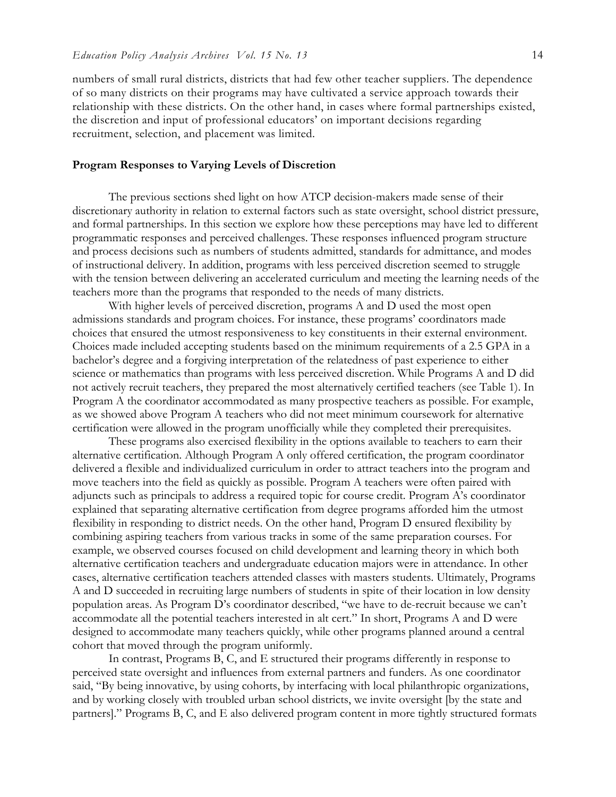numbers of small rural districts, districts that had few other teacher suppliers. The dependence of so many districts on their programs may have cultivated a service approach towards their relationship with these districts. On the other hand, in cases where formal partnerships existed, the discretion and input of professional educators' on important decisions regarding recruitment, selection, and placement was limited.

### **Program Responses to Varying Levels of Discretion**

The previous sections shed light on how ATCP decision-makers made sense of their discretionary authority in relation to external factors such as state oversight, school district pressure, and formal partnerships. In this section we explore how these perceptions may have led to different programmatic responses and perceived challenges. These responses influenced program structure and process decisions such as numbers of students admitted, standards for admittance, and modes of instructional delivery. In addition, programs with less perceived discretion seemed to struggle with the tension between delivering an accelerated curriculum and meeting the learning needs of the teachers more than the programs that responded to the needs of many districts.

With higher levels of perceived discretion, programs A and D used the most open admissions standards and program choices. For instance, these programs' coordinators made choices that ensured the utmost responsiveness to key constituents in their external environment. Choices made included accepting students based on the minimum requirements of a 2.5 GPA in a bachelor's degree and a forgiving interpretation of the relatedness of past experience to either science or mathematics than programs with less perceived discretion. While Programs A and D did not actively recruit teachers, they prepared the most alternatively certified teachers (see Table 1). In Program A the coordinator accommodated as many prospective teachers as possible. For example, as we showed above Program A teachers who did not meet minimum coursework for alternative certification were allowed in the program unofficially while they completed their prerequisites.

These programs also exercised flexibility in the options available to teachers to earn their alternative certification. Although Program A only offered certification, the program coordinator delivered a flexible and individualized curriculum in order to attract teachers into the program and move teachers into the field as quickly as possible. Program A teachers were often paired with adjuncts such as principals to address a required topic for course credit. Program A's coordinator explained that separating alternative certification from degree programs afforded him the utmost flexibility in responding to district needs. On the other hand, Program D ensured flexibility by combining aspiring teachers from various tracks in some of the same preparation courses. For example, we observed courses focused on child development and learning theory in which both alternative certification teachers and undergraduate education majors were in attendance. In other cases, alternative certification teachers attended classes with masters students. Ultimately, Programs A and D succeeded in recruiting large numbers of students in spite of their location in low density population areas. As Program D's coordinator described, "we have to de-recruit because we can't accommodate all the potential teachers interested in alt cert." In short, Programs A and D were designed to accommodate many teachers quickly, while other programs planned around a central cohort that moved through the program uniformly.

In contrast, Programs B, C, and E structured their programs differently in response to perceived state oversight and influences from external partners and funders. As one coordinator said, "By being innovative, by using cohorts, by interfacing with local philanthropic organizations, and by working closely with troubled urban school districts, we invite oversight [by the state and partners]." Programs B, C, and E also delivered program content in more tightly structured formats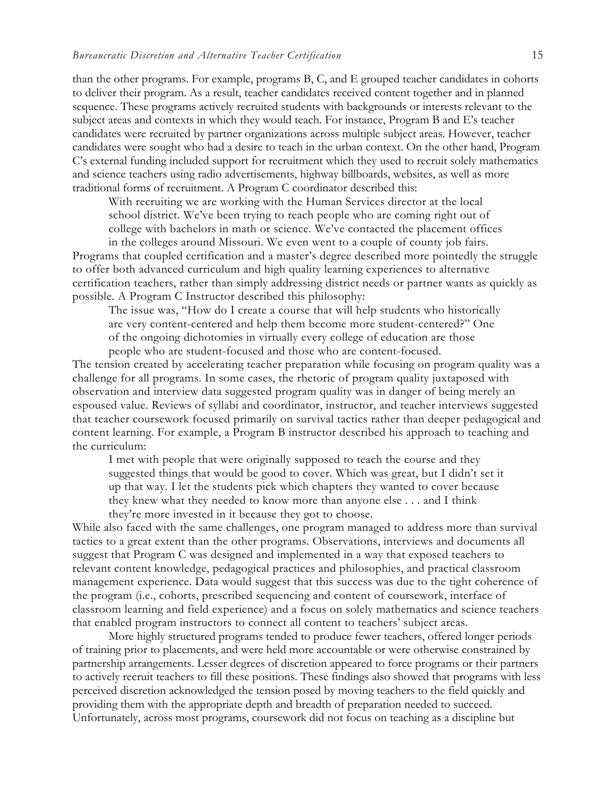than the other programs. For example, programs B, C, and E grouped teacher candidates in cohorts to deliver their program. As a result, teacher candidates received content together and in planned sequence. These programs actively recruited students with backgrounds or interests relevant to the subject areas and contexts in which they would teach. For instance, Program B and E's teacher candidates were recruited by partner organizations across multiple subject areas. However, teacher candidates were sought who had a desire to teach in the urban context. On the other hand, Program C's external funding included support for recruitment which they used to recruit solely mathematics and science teachers using radio advertisements, highway billboards, websites, as well as more traditional forms of recruitment. A Program C coordinator described this:

With recruiting we are working with the Human Services director at the local school district. We've been trying to reach people who are coming right out of college with bachelors in math or science. We've contacted the placement offices in the colleges around Missouri. We even went to a couple of county job fairs.

Programs that coupled certification and a master's degree described more pointedly the struggle to offer both advanced curriculum and high quality learning experiences to alternative certification teachers, rather than simply addressing district needs or partner wants as quickly as possible. A Program C Instructor described this philosophy:

The issue was, "How do I create a course that will help students who historically are very content-centered and help them become more student-centered?" One of the ongoing dichotomies in virtually every college of education are those people who are student-focused and those who are content-focused.

The tension created by accelerating teacher preparation while focusing on program quality was a challenge for all programs. In some cases, the rhetoric of program quality juxtaposed with observation and interview data suggested program quality was in danger of being merely an espoused value. Reviews of syllabi and coordinator, instructor, and teacher interviews suggested that teacher coursework focused primarily on survival tactics rather than deeper pedagogical and content learning. For example, a Program B instructor described his approach to teaching and the curriculum:

I met with people that were originally supposed to teach the course and they suggested things that would be good to cover. Which was great, but I didn't set it up that way. I let the students pick which chapters they wanted to cover because they knew what they needed to know more than anyone else . . . and I think they're more invested in it because they got to choose.

While also faced with the same challenges, one program managed to address more than survival tactics to a great extent than the other programs. Observations, interviews and documents all suggest that Program C was designed and implemented in a way that exposed teachers to relevant content knowledge, pedagogical practices and philosophies, and practical classroom management experience. Data would suggest that this success was due to the tight coherence of the program (i.e., cohorts, prescribed sequencing and content of coursework, interface of classroom learning and field experience) and a focus on solely mathematics and science teachers that enabled program instructors to connect all content to teachers' subject areas.

More highly structured programs tended to produce fewer teachers, offered longer periods of training prior to placements, and were held more accountable or were otherwise constrained by partnership arrangements. Lesser degrees of discretion appeared to force programs or their partners to actively recruit teachers to fill these positions. These findings also showed that programs with less perceived discretion acknowledged the tension posed by moving teachers to the field quickly and providing them with the appropriate depth and breadth of preparation needed to succeed. Unfortunately, across most programs, coursework did not focus on teaching as a discipline but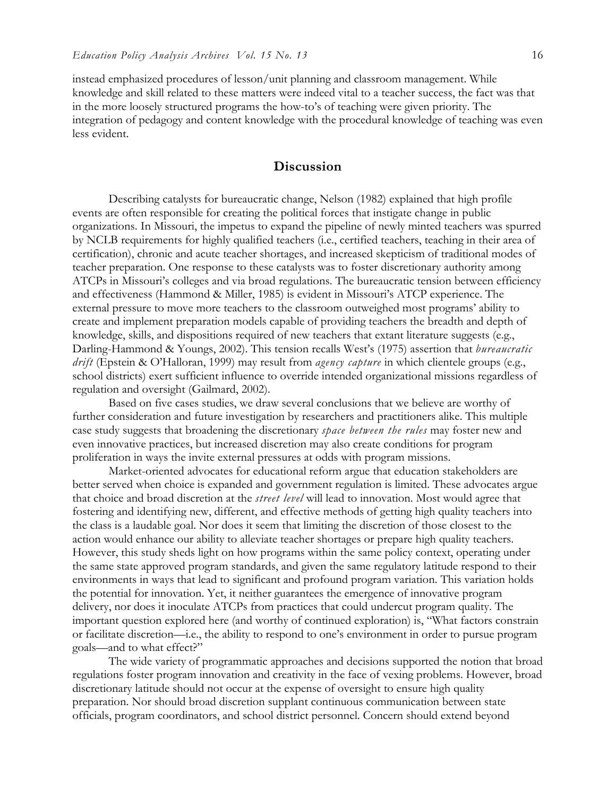instead emphasized procedures of lesson/unit planning and classroom management. While knowledge and skill related to these matters were indeed vital to a teacher success, the fact was that in the more loosely structured programs the how-to's of teaching were given priority. The integration of pedagogy and content knowledge with the procedural knowledge of teaching was even less evident.

## **Discussion**

Describing catalysts for bureaucratic change, Nelson (1982) explained that high profile events are often responsible for creating the political forces that instigate change in public organizations. In Missouri, the impetus to expand the pipeline of newly minted teachers was spurred by NCLB requirements for highly qualified teachers (i.e., certified teachers, teaching in their area of certification), chronic and acute teacher shortages, and increased skepticism of traditional modes of teacher preparation. One response to these catalysts was to foster discretionary authority among ATCPs in Missouri's colleges and via broad regulations. The bureaucratic tension between efficiency and effectiveness (Hammond & Miller, 1985) is evident in Missouri's ATCP experience. The external pressure to move more teachers to the classroom outweighed most programs' ability to create and implement preparation models capable of providing teachers the breadth and depth of knowledge, skills, and dispositions required of new teachers that extant literature suggests (e.g., Darling-Hammond & Youngs, 2002). This tension recalls West's (1975) assertion that *bureaucratic drift* (Epstein & O'Halloran, 1999) may result from *agency capture* in which clientele groups (e.g., school districts) exert sufficient influence to override intended organizational missions regardless of regulation and oversight (Gailmard, 2002).

Based on five cases studies, we draw several conclusions that we believe are worthy of further consideration and future investigation by researchers and practitioners alike. This multiple case study suggests that broadening the discretionary *space between the rules* may foster new and even innovative practices, but increased discretion may also create conditions for program proliferation in ways the invite external pressures at odds with program missions.

Market-oriented advocates for educational reform argue that education stakeholders are better served when choice is expanded and government regulation is limited. These advocates argue that choice and broad discretion at the *street level* will lead to innovation. Most would agree that fostering and identifying new, different, and effective methods of getting high quality teachers into the class is a laudable goal. Nor does it seem that limiting the discretion of those closest to the action would enhance our ability to alleviate teacher shortages or prepare high quality teachers. However, this study sheds light on how programs within the same policy context, operating under the same state approved program standards, and given the same regulatory latitude respond to their environments in ways that lead to significant and profound program variation. This variation holds the potential for innovation. Yet, it neither guarantees the emergence of innovative program delivery, nor does it inoculate ATCPs from practices that could undercut program quality. The important question explored here (and worthy of continued exploration) is, "What factors constrain or facilitate discretion—i.e., the ability to respond to one's environment in order to pursue program goals—and to what effect?"

The wide variety of programmatic approaches and decisions supported the notion that broad regulations foster program innovation and creativity in the face of vexing problems. However, broad discretionary latitude should not occur at the expense of oversight to ensure high quality preparation. Nor should broad discretion supplant continuous communication between state officials, program coordinators, and school district personnel. Concern should extend beyond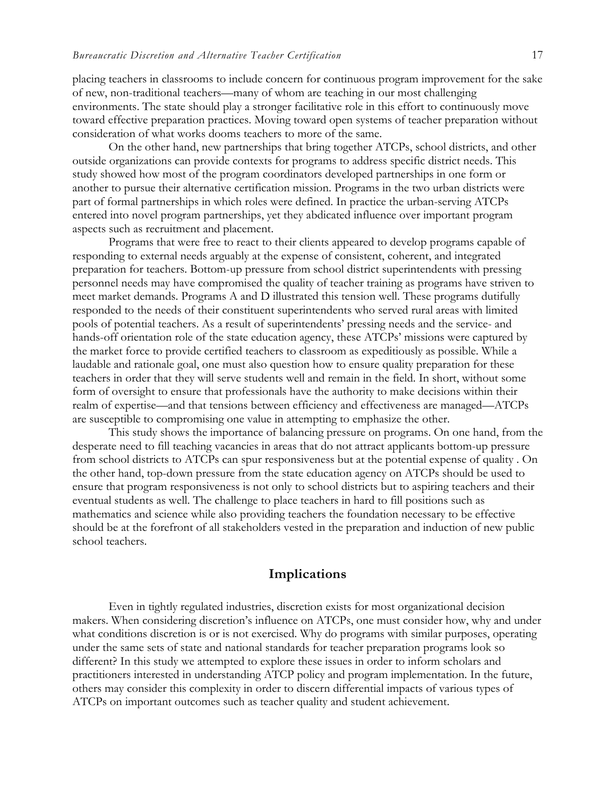placing teachers in classrooms to include concern for continuous program improvement for the sake of new, non-traditional teachers—many of whom are teaching in our most challenging environments. The state should play a stronger facilitative role in this effort to continuously move toward effective preparation practices. Moving toward open systems of teacher preparation without consideration of what works dooms teachers to more of the same.

On the other hand, new partnerships that bring together ATCPs, school districts, and other outside organizations can provide contexts for programs to address specific district needs. This study showed how most of the program coordinators developed partnerships in one form or another to pursue their alternative certification mission. Programs in the two urban districts were part of formal partnerships in which roles were defined. In practice the urban-serving ATCPs entered into novel program partnerships, yet they abdicated influence over important program aspects such as recruitment and placement.

Programs that were free to react to their clients appeared to develop programs capable of responding to external needs arguably at the expense of consistent, coherent, and integrated preparation for teachers. Bottom-up pressure from school district superintendents with pressing personnel needs may have compromised the quality of teacher training as programs have striven to meet market demands. Programs A and D illustrated this tension well. These programs dutifully responded to the needs of their constituent superintendents who served rural areas with limited pools of potential teachers. As a result of superintendents' pressing needs and the service- and hands-off orientation role of the state education agency, these ATCPs' missions were captured by the market force to provide certified teachers to classroom as expeditiously as possible. While a laudable and rationale goal, one must also question how to ensure quality preparation for these teachers in order that they will serve students well and remain in the field. In short, without some form of oversight to ensure that professionals have the authority to make decisions within their realm of expertise—and that tensions between efficiency and effectiveness are managed—ATCPs are susceptible to compromising one value in attempting to emphasize the other.

This study shows the importance of balancing pressure on programs. On one hand, from the desperate need to fill teaching vacancies in areas that do not attract applicants bottom-up pressure from school districts to ATCPs can spur responsiveness but at the potential expense of quality . On the other hand, top-down pressure from the state education agency on ATCPs should be used to ensure that program responsiveness is not only to school districts but to aspiring teachers and their eventual students as well. The challenge to place teachers in hard to fill positions such as mathematics and science while also providing teachers the foundation necessary to be effective should be at the forefront of all stakeholders vested in the preparation and induction of new public school teachers.

## **Implications**

Even in tightly regulated industries, discretion exists for most organizational decision makers. When considering discretion's influence on ATCPs, one must consider how, why and under what conditions discretion is or is not exercised. Why do programs with similar purposes, operating under the same sets of state and national standards for teacher preparation programs look so different? In this study we attempted to explore these issues in order to inform scholars and practitioners interested in understanding ATCP policy and program implementation. In the future, others may consider this complexity in order to discern differential impacts of various types of ATCPs on important outcomes such as teacher quality and student achievement.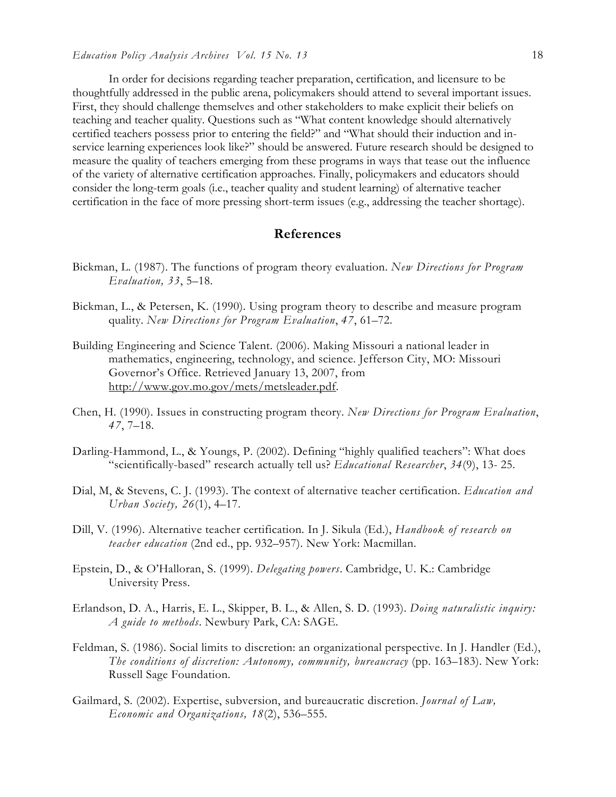In order for decisions regarding teacher preparation, certification, and licensure to be thoughtfully addressed in the public arena, policymakers should attend to several important issues. First, they should challenge themselves and other stakeholders to make explicit their beliefs on teaching and teacher quality. Questions such as "What content knowledge should alternatively certified teachers possess prior to entering the field?" and "What should their induction and inservice learning experiences look like?" should be answered. Future research should be designed to measure the quality of teachers emerging from these programs in ways that tease out the influence of the variety of alternative certification approaches. Finally, policymakers and educators should consider the long-term goals (i.e., teacher quality and student learning) of alternative teacher certification in the face of more pressing short-term issues (e.g., addressing the teacher shortage).

## **References**

- Bickman, L. (1987). The functions of program theory evaluation. *New Directions for Program Evaluation, 33*, 5–18.
- Bickman, L., & Petersen, K. (1990). Using program theory to describe and measure program quality. *New Directions for Program Evaluation*, *47*, 61–72.
- Building Engineering and Science Talent. (2006). Making Missouri a national leader in mathematics, engineering, technology, and science. Jefferson City, MO: Missouri Governor's Office. Retrieved January 13, 2007, from http://www.gov.mo.gov/mets/metsleader.pdf.
- Chen, H. (1990). Issues in constructing program theory. *New Directions for Program Evaluation*, *47*, 7–18.
- Darling-Hammond, L., & Youngs, P. (2002). Defining "highly qualified teachers": What does "scientifically-based" research actually tell us? *Educational Researcher*, *34*(9), 13- 25.
- Dial, M, & Stevens, C. J. (1993). The context of alternative teacher certification. *Education and Urban Society, 26*(1), 4–17.
- Dill, V. (1996). Alternative teacher certification. In J. Sikula (Ed.), *Handbook of research on teacher education* (2nd ed., pp. 932–957). New York: Macmillan.
- Epstein, D., & O'Halloran, S. (1999). *Delegating powers*. Cambridge, U. K.: Cambridge University Press.
- Erlandson, D. A., Harris, E. L., Skipper, B. L., & Allen, S. D. (1993). *Doing naturalistic inquiry: A guide to methods*. Newbury Park, CA: SAGE.
- Feldman, S. (1986). Social limits to discretion: an organizational perspective. In J. Handler (Ed.), *The conditions of discretion: Autonomy, community, bureaucracy* (pp. 163–183). New York: Russell Sage Foundation.
- Gailmard, S. (2002). Expertise, subversion, and bureaucratic discretion. *Journal of Law, Economic and Organizations, 18*(2), 536–555.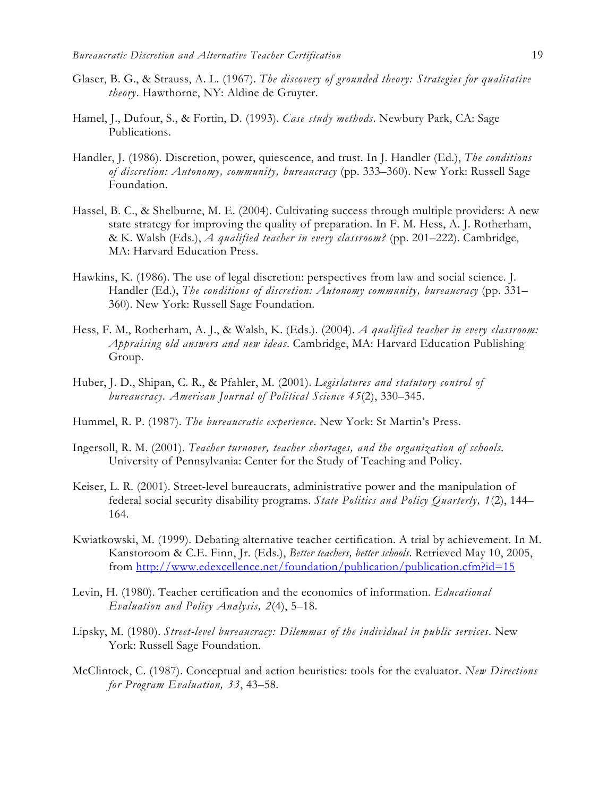- Glaser, B. G., & Strauss, A. L. (1967). *The discovery of grounded theory: Strategies for qualitative theory*. Hawthorne, NY: Aldine de Gruyter.
- Hamel, J., Dufour, S., & Fortin, D. (1993). *Case study methods*. Newbury Park, CA: Sage Publications.
- Handler, J. (1986). Discretion, power, quiescence, and trust. In J. Handler (Ed.), *The conditions of discretion: Autonomy, community, bureaucracy* (pp. 333–360). New York: Russell Sage Foundation.
- Hassel, B. C., & Shelburne, M. E. (2004). Cultivating success through multiple providers: A new state strategy for improving the quality of preparation. In F. M. Hess, A. J. Rotherham, & K. Walsh (Eds.), *A qualified teacher in every classroom?* (pp. 201–222). Cambridge, MA: Harvard Education Press.
- Hawkins, K. (1986). The use of legal discretion: perspectives from law and social science. J. Handler (Ed.), *The conditions of discretion: Autonomy community, bureaucracy* (pp. 331– 360). New York: Russell Sage Foundation.
- Hess, F. M., Rotherham, A. J., & Walsh, K. (Eds.). (2004). *A qualified teacher in every classroom: Appraising old answers and new ideas*. Cambridge, MA: Harvard Education Publishing Group.
- Huber, J. D., Shipan, C. R., & Pfahler, M. (2001). *Legislatures and statutory control of bureaucracy. American Journal of Political Science 45*(2), 330–345.
- Hummel, R. P. (1987). *The bureaucratic experience*. New York: St Martin's Press.
- Ingersoll, R. M. (2001). *Teacher turnover, teacher shortages, and the organization of schools.*  University of Pennsylvania: Center for the Study of Teaching and Policy.
- Keiser, L. R. (2001). Street-level bureaucrats, administrative power and the manipulation of federal social security disability programs. *State Politics and Policy Quarterly, 1*(2), 144– 164.
- Kwiatkowski, M. (1999). Debating alternative teacher certification. A trial by achievement. In M. Kanstoroom & C.E. Finn, Jr. (Eds.), *Better teachers, better schools*. Retrieved May 10, 2005, from http://www.edexcellence.net/foundation/publication/publication.cfm?id=15
- Levin, H. (1980). Teacher certification and the economics of information. *Educational Evaluation and Policy Analysis, 2*(4), 5–18.
- Lipsky, M. (1980). *Street-level bureaucracy: Dilemmas of the individual in public services*. New York: Russell Sage Foundation.
- McClintock, C. (1987). Conceptual and action heuristics: tools for the evaluator. *New Directions for Program Evaluation, 33*, 43–58.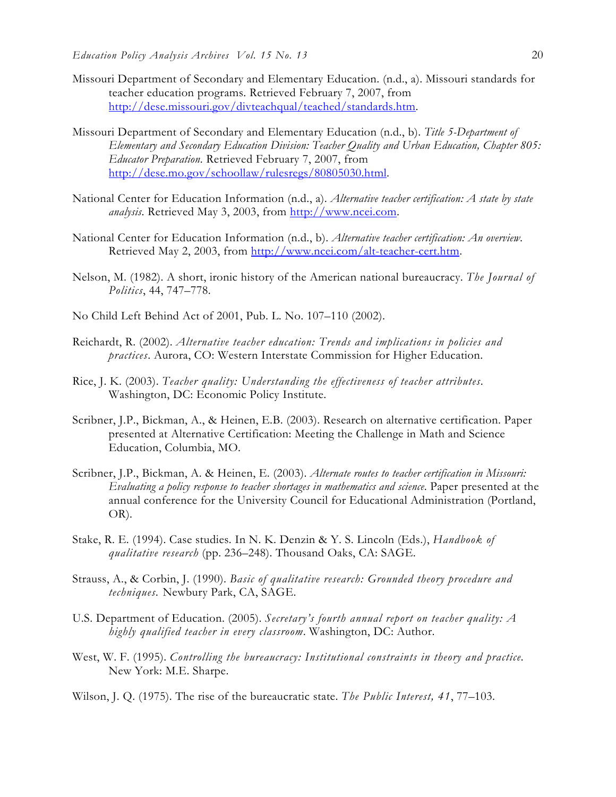- Missouri Department of Secondary and Elementary Education. (n.d., a). Missouri standards for teacher education programs. Retrieved February 7, 2007, from http://dese.missouri.gov/divteachqual/teached/standards.htm.
- Missouri Department of Secondary and Elementary Education (n.d., b). *Title 5-Department of Elementary and Secondary Education Division: Teacher Quality and Urban Education, Chapter 805: Educator Preparation*. Retrieved February 7, 2007, from http://dese.mo.gov/schoollaw/rulesregs/80805030.html.
- National Center for Education Information (n.d., a). *Alternative teacher certification: A state by state analysis*. Retrieved May 3, 2003, from http://www.ncei.com.
- National Center for Education Information (n.d., b). *Alternative teacher certification: An overview*. Retrieved May 2, 2003, from http://www.ncei.com/alt-teacher-cert.htm.
- Nelson, M. (1982). A short, ironic history of the American national bureaucracy. *The Journal of Politics*, 44, 747–778.
- No Child Left Behind Act of 2001, Pub. L. No. 107–110 (2002).
- Reichardt, R. (2002). *Alternative teacher education: Trends and implications in policies and practices*. Aurora, CO: Western Interstate Commission for Higher Education.
- Rice, J. K. (2003). *Teacher quality: Understanding the effectiveness of teacher attributes*. Washington, DC: Economic Policy Institute.
- Scribner, J.P., Bickman, A., & Heinen, E.B. (2003). Research on alternative certification. Paper presented at Alternative Certification: Meeting the Challenge in Math and Science Education, Columbia, MO.
- Scribner, J.P., Bickman, A. & Heinen, E. (2003). *Alternate routes to teacher certification in Missouri: Evaluating a policy response to teacher shortages in mathematics and science*. Paper presented at the annual conference for the University Council for Educational Administration (Portland, OR).
- Stake, R. E. (1994). Case studies. In N. K. Denzin & Y. S. Lincoln (Eds.), *Handbook of qualitative research* (pp. 236–248). Thousand Oaks, CA: SAGE.
- Strauss, A., & Corbin, J. (1990). *Basic of qualitative research: Grounded theory procedure and techniques.* Newbury Park, CA, SAGE.
- U.S. Department of Education. (2005). *Secretary's fourth annual report on teacher quality: A highly qualified teacher in every classroom*. Washington, DC: Author.
- West, W. F. (1995). *Controlling the bureaucracy: Institutional constraints in theory and practice.* New York: M.E. Sharpe.
- Wilson, J. Q. (1975). The rise of the bureaucratic state. *The Public Interest, 41*, 77–103.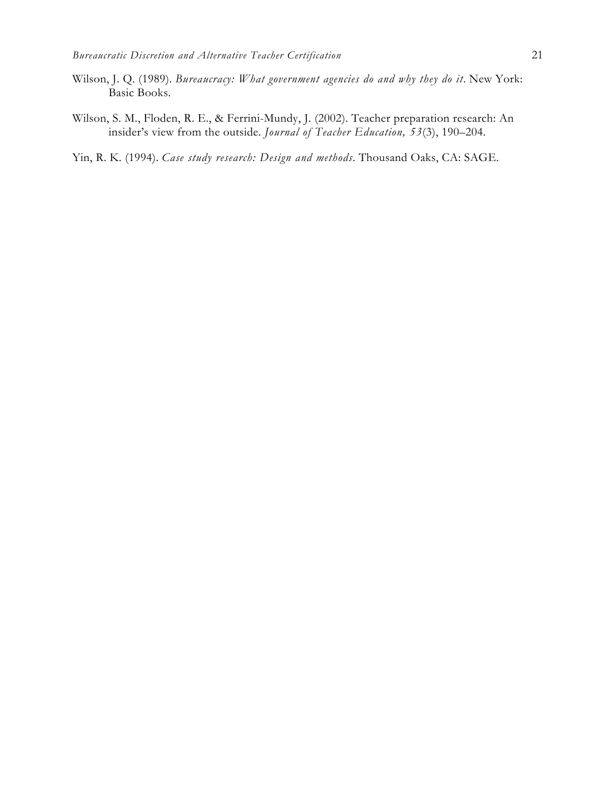- Wilson, J. Q. (1989). *Bureaucracy: What government agencies do and why they do it*. New York: Basic Books.
- Wilson, S. M., Floden, R. E., & Ferrini-Mundy, J. (2002). Teacher preparation research: An insider's view from the outside. *Journal of Teacher Education, 53*(3), 190–204.
- Yin, R. K. (1994). *Case study research: Design and methods*. Thousand Oaks, CA: SAGE.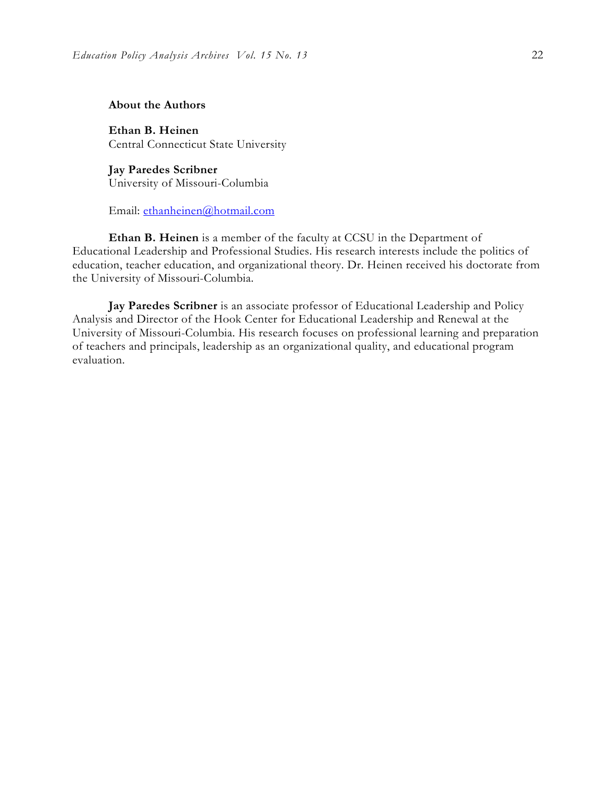## **About the Authors**

**Ethan B. Heinen**  Central Connecticut State University

**Jay Paredes Scribner**  University of Missouri-Columbia

Email: ethanheinen@hotmail.com

**Ethan B. Heinen** is a member of the faculty at CCSU in the Department of Educational Leadership and Professional Studies. His research interests include the politics of education, teacher education, and organizational theory. Dr. Heinen received his doctorate from the University of Missouri-Columbia.

**Jay Paredes Scribner** is an associate professor of Educational Leadership and Policy Analysis and Director of the Hook Center for Educational Leadership and Renewal at the University of Missouri-Columbia. His research focuses on professional learning and preparation of teachers and principals, leadership as an organizational quality, and educational program evaluation.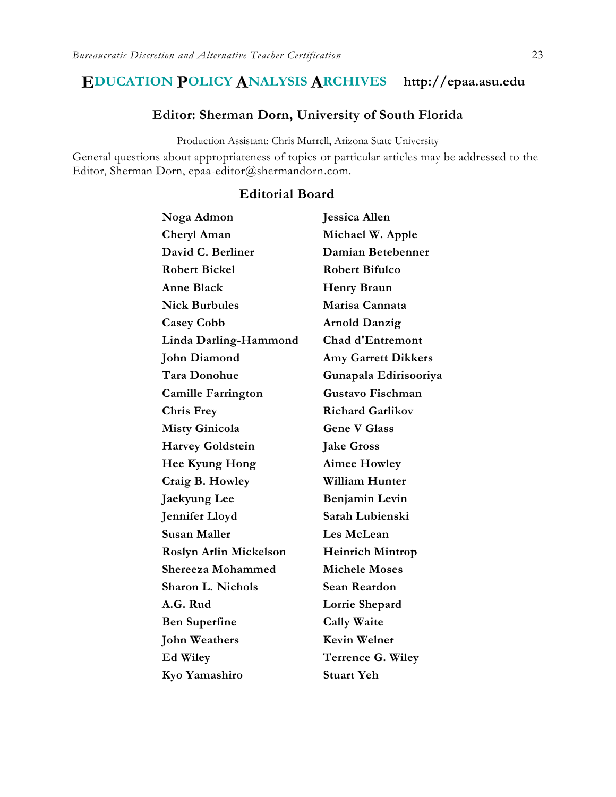# **EDUCATION POLICY ANALYSIS ARCHIVES http://epaa.asu.edu**

## **Editor: Sherman Dorn, University of South Florida**

Production Assistant: Chris Murrell, Arizona State University

General questions about appropriateness of topics or particular articles may be addressed to the Editor, Sherman Dorn, epaa-editor@shermandorn.com.

## **Editorial Board**

| Noga Admon                    | Jessica Allen              |
|-------------------------------|----------------------------|
| Cheryl Aman                   | Michael W. Apple           |
| David C. Berliner             | Damian Betebenner          |
| <b>Robert Bickel</b>          | <b>Robert Bifulco</b>      |
| <b>Anne Black</b>             | <b>Henry Braun</b>         |
| <b>Nick Burbules</b>          | Marisa Cannata             |
| <b>Casey Cobb</b>             | <b>Arnold Danzig</b>       |
| Linda Darling-Hammond         | <b>Chad d'Entremont</b>    |
| <b>John Diamond</b>           | <b>Amy Garrett Dikkers</b> |
| Tara Donohue                  | Gunapala Edirisooriya      |
| <b>Camille Farrington</b>     | <b>Gustavo Fischman</b>    |
| <b>Chris Frey</b>             | <b>Richard Garlikov</b>    |
| <b>Misty Ginicola</b>         | <b>Gene V Glass</b>        |
| <b>Harvey Goldstein</b>       | <b>Jake Gross</b>          |
| Hee Kyung Hong                | <b>Aimee Howley</b>        |
| Craig B. Howley               | <b>William Hunter</b>      |
| Jaekyung Lee                  | Benjamin Levin             |
| Jennifer Lloyd                | Sarah Lubienski            |
| Susan Maller                  | Les McLean                 |
| <b>Roslyn Arlin Mickelson</b> | <b>Heinrich Mintrop</b>    |
| <b>Shereeza Mohammed</b>      | <b>Michele Moses</b>       |
| Sharon L. Nichols             | <b>Sean Reardon</b>        |
| A.G. Rud                      | Lorrie Shepard             |
| Ben Superfine                 | <b>Cally Waite</b>         |
| <b>John Weathers</b>          | <b>Kevin Welner</b>        |
| Ed Wiley                      | Terrence G. Wiley          |
| Kyo Yamashiro                 | <b>Stuart Yeh</b>          |